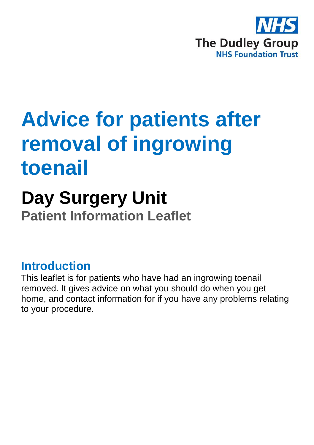

# **Advice for patients after removal of ingrowing toenail**

## **Day Surgery Unit Patient Information Leaflet**

### **Introduction**

This leaflet is for patients who have had an ingrowing toenail removed. It gives advice on what you should do when you get home, and contact information for if you have any problems relating to your procedure.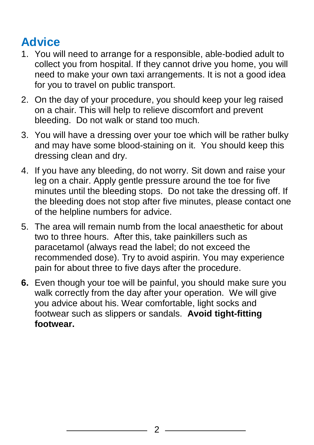## **Advice**

- 1. You will need to arrange for a responsible, able-bodied adult to collect you from hospital. If they cannot drive you home, you will need to make your own taxi arrangements. It is not a good idea for you to travel on public transport.
- 2. On the day of your procedure, you should keep your leg raised on a chair. This will help to relieve discomfort and prevent bleeding. Do not walk or stand too much.
- 3. You will have a dressing over your toe which will be rather bulky and may have some blood-staining on it. You should keep this dressing clean and dry.
- 4. If you have any bleeding, do not worry. Sit down and raise your leg on a chair. Apply gentle pressure around the toe for five minutes until the bleeding stops. Do not take the dressing off. If the bleeding does not stop after five minutes, please contact one of the helpline numbers for advice.
- 5. The area will remain numb from the local anaesthetic for about two to three hours. After this, take painkillers such as paracetamol (always read the label; do not exceed the recommended dose). Try to avoid aspirin. You may experience pain for about three to five days after the procedure.
- **6.** Even though your toe will be painful, you should make sure you walk correctly from the day after your operation. We will give you advice about his. Wear comfortable, light socks and footwear such as slippers or sandals. **Avoid tight-fitting footwear.**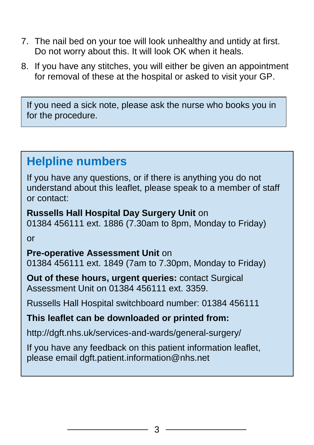- 7. The nail bed on your toe will look unhealthy and untidy at first. Do not worry about this. It will look OK when it heals.
- 8. If you have any stitches, you will either be given an appointment for removal of these at the hospital or asked to visit your GP.

If you need a sick note, please ask the nurse who books you in for the procedure.

### **Helpline numbers**

If you have any questions, or if there is anything you do not understand about this leaflet, please speak to a member of staff or contact:

**Russells Hall Hospital Day Surgery Unit** on 01384 456111 ext. 1886 (7.30am to 8pm, Monday to Friday)

or

#### **Pre-operative Assessment Unit** on

01384 456111 ext. 1849 (7am to 7.30pm, Monday to Friday)

**Out of these hours, urgent queries:** contact Surgical Assessment Unit on 01384 456111 ext. 3359.

Russells Hall Hospital switchboard number: 01384 456111

#### **This leaflet can be downloaded or printed from:**

http://dgft.nhs.uk/services-and-wards/general-surgery/

If you have any feedback on this patient information leaflet, please email dgft.patient.information@nhs.net